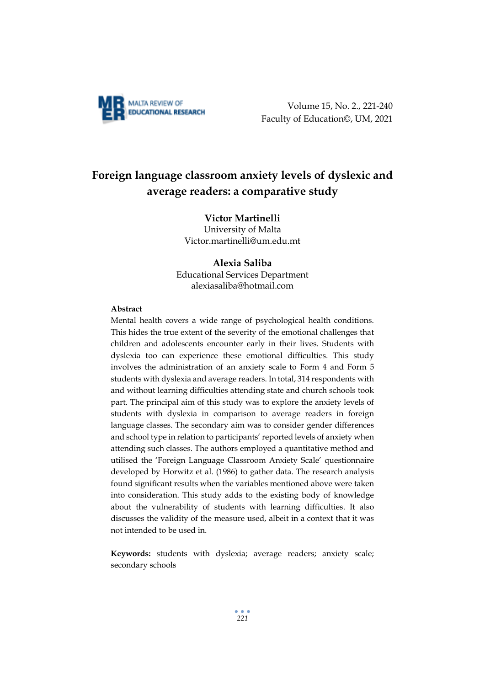

Volume 15, No. 2., 221-240 Faculty of Education©, UM, 2021

# **Foreign language classroom anxiety levels of dyslexic and average readers: a comparative study**

# **Victor Martinelli**

University of Malta Victor.martinelli@um.edu.mt

## **Alexia Saliba**

Educational Services Department alexiasaliba@hotmail.com

#### **Abstract**

Mental health covers a wide range of psychological health conditions. This hides the true extent of the severity of the emotional challenges that children and adolescents encounter early in their lives. Students with dyslexia too can experience these emotional difficulties. This study involves the administration of an anxiety scale to Form 4 and Form 5 students with dyslexia and average readers. In total, 314 respondents with and without learning difficulties attending state and church schools took part. The principal aim of this study was to explore the anxiety levels of students with dyslexia in comparison to average readers in foreign language classes. The secondary aim was to consider gender differences and school type in relation to participants' reported levels of anxiety when attending such classes. The authors employed a quantitative method and utilised the 'Foreign Language Classroom Anxiety Scale' questionnaire developed by Horwitz et al. (1986) to gather data. The research analysis found significant results when the variables mentioned above were taken into consideration. This study adds to the existing body of knowledge about the vulnerability of students with learning difficulties. It also discusses the validity of the measure used, albeit in a context that it was not intended to be used in.

**Keywords:** students with dyslexia; average readers; anxiety scale; secondary schools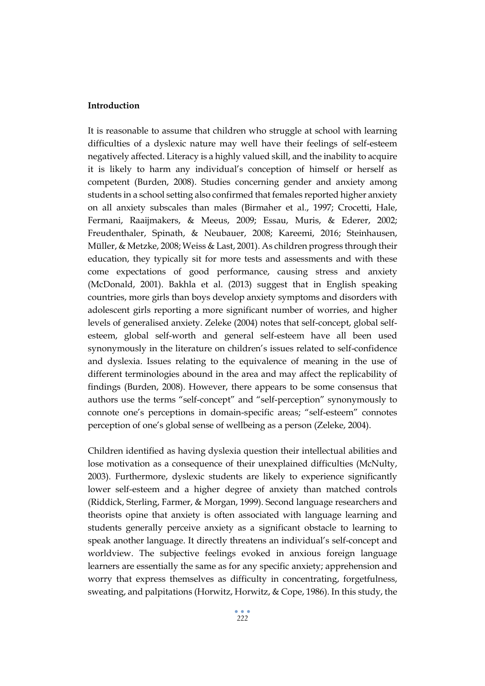# **Introduction**

It is reasonable to assume that children who struggle at school with learning difficulties of a dyslexic nature may well have their feelings of self-esteem negatively affected. Literacy is a highly valued skill, and the inability to acquire it is likely to harm any individual's conception of himself or herself as competent (Burden, 2008). Studies concerning gender and anxiety among students in a school setting also confirmed that females reported higher anxiety on all anxiety subscales than males (Birmaher et al., 1997; Crocetti, Hale, Fermani, Raaijmakers, & Meeus, 2009; Essau, Muris, & Ederer, 2002; Freudenthaler, Spinath, & Neubauer, 2008; Kareemi, 2016; Steinhausen, Müller, & Metzke, 2008; Weiss & Last, 2001). As children progress through their education, they typically sit for more tests and assessments and with these come expectations of good performance, causing stress and anxiety (McDonald, 2001). Bakhla et al. (2013) suggest that in English speaking countries, more girls than boys develop anxiety symptoms and disorders with adolescent girls reporting a more significant number of worries, and higher levels of generalised anxiety. Zeleke (2004) notes that self-concept, global selfesteem, global self-worth and general self-esteem have all been used synonymously in the literature on children's issues related to self-confidence and dyslexia. Issues relating to the equivalence of meaning in the use of different terminologies abound in the area and may affect the replicability of findings (Burden, 2008). However, there appears to be some consensus that authors use the terms "self-concept" and "self-perception" synonymously to connote one's perceptions in domain-specific areas; "self-esteem" connotes perception of one's global sense of wellbeing as a person (Zeleke, 2004).

Children identified as having dyslexia question their intellectual abilities and lose motivation as a consequence of their unexplained difficulties (McNulty, 2003). Furthermore, dyslexic students are likely to experience significantly lower self-esteem and a higher degree of anxiety than matched controls (Riddick, Sterling, Farmer, & Morgan, 1999). Second language researchers and theorists opine that anxiety is often associated with language learning and students generally perceive anxiety as a significant obstacle to learning to speak another language. It directly threatens an individual's self-concept and worldview. The subjective feelings evoked in anxious foreign language learners are essentially the same as for any specific anxiety; apprehension and worry that express themselves as difficulty in concentrating, forgetfulness, sweating, and palpitations (Horwitz, Horwitz, & Cope, 1986). In this study, the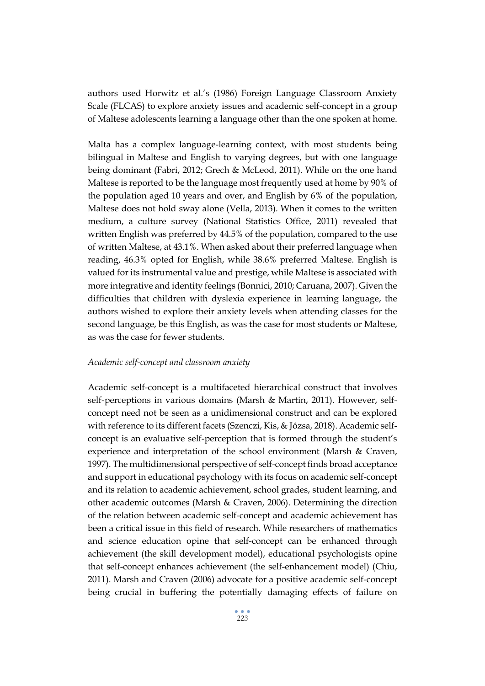authors used Horwitz et al.'s (1986) Foreign Language Classroom Anxiety Scale (FLCAS) to explore anxiety issues and academic self-concept in a group of Maltese adolescents learning a language other than the one spoken at home.

Malta has a complex language-learning context, with most students being bilingual in Maltese and English to varying degrees, but with one language being dominant (Fabri, 2012; Grech & McLeod, 2011). While on the one hand Maltese is reported to be the language most frequently used at home by 90% of the population aged 10 years and over, and English by 6% of the population, Maltese does not hold sway alone (Vella, 2013). When it comes to the written medium, a culture survey (National Statistics Office, 2011) revealed that written English was preferred by 44.5% of the population, compared to the use of written Maltese, at 43.1%. When asked about their preferred language when reading, 46.3% opted for English, while 38.6% preferred Maltese. English is valued for its instrumental value and prestige, while Maltese is associated with more integrative and identity feelings (Bonnici, 2010; Caruana, 2007). Given the difficulties that children with dyslexia experience in learning language, the authors wished to explore their anxiety levels when attending classes for the second language, be this English, as was the case for most students or Maltese, as was the case for fewer students.

#### *Academic self-concept and classroom anxiety*

Academic self-concept is a multifaceted hierarchical construct that involves self-perceptions in various domains (Marsh & Martin, 2011). However, selfconcept need not be seen as a unidimensional construct and can be explored with reference to its different facets (Szenczi, Kis, & Józsa, 2018). Academic selfconcept is an evaluative self-perception that is formed through the student's experience and interpretation of the school environment (Marsh & Craven, 1997). The multidimensional perspective of self-concept finds broad acceptance and support in educational psychology with its focus on academic self-concept and its relation to academic achievement, school grades, student learning, and other academic outcomes (Marsh & Craven, 2006). Determining the direction of the relation between academic self-concept and academic achievement has been a critical issue in this field of research. While researchers of mathematics and science education opine that self-concept can be enhanced through achievement (the skill development model), educational psychologists opine that self-concept enhances achievement (the self-enhancement model) (Chiu, 2011). Marsh and Craven (2006) advocate for a positive academic self-concept being crucial in buffering the potentially damaging effects of failure on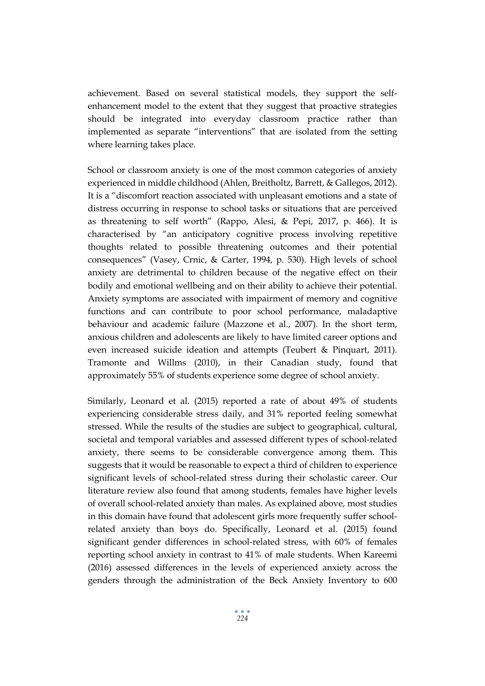achievement. Based on several statistical models, they support the selfenhancement model to the extent that they suggest that proactive strategies should be integrated into everyday classroom practice rather than implemented as separate "interventions" that are isolated from the setting where learning takes place.

School or classroom anxiety is one of the most common categories of anxiety experienced in middle childhood (Ahlen, Breitholtz, Barrett, & Gallegos, 2012). It is a "discomfort reaction associated with unpleasant emotions and a state of distress occurring in response to school tasks or situations that are perceived as threatening to self worth" (Rappo, Alesi, & Pepi, 2017, p. 466). It is characterised by "an anticipatory cognitive process involving repetitive thoughts related to possible threatening outcomes and their potential consequences" (Vasey, Crnic, & Carter, 1994, p. 530). High levels of school anxiety are detrimental to children because of the negative effect on their bodily and emotional wellbeing and on their ability to achieve their potential. Anxiety symptoms are associated with impairment of memory and cognitive functions and can contribute to poor school performance, maladaptive behaviour and academic failure (Mazzone et al., 2007). In the short term, anxious children and adolescents are likely to have limited career options and even increased suicide ideation and attempts (Teubert & Pinquart, 2011). Tramonte and Willms (2010), in their Canadian study, found that approximately 55% of students experience some degree of school anxiety.

Similarly, Leonard et al. (2015) reported a rate of about 49% of students experiencing considerable stress daily, and 31% reported feeling somewhat stressed. While the results of the studies are subject to geographical, cultural, societal and temporal variables and assessed different types of school-related anxiety, there seems to be considerable convergence among them. This suggests that it would be reasonable to expect a third of children to experience significant levels of school-related stress during their scholastic career. Our literature review also found that among students, females have higher levels of overall school-related anxiety than males. As explained above, most studies in this domain have found that adolescent girls more frequently suffer schoolrelated anxiety than boys do. Specifically, Leonard et al. (2015) found significant gender differences in school-related stress, with 60% of females reporting school anxiety in contrast to 41% of male students. When Kareemi (2016) assessed differences in the levels of experienced anxiety across the genders through the administration of the Beck Anxiety Inventory to 600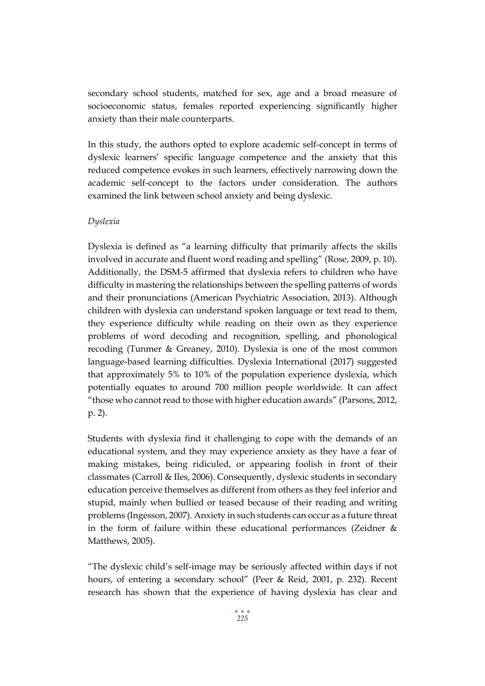secondary school students, matched for sex, age and a broad measure of socioeconomic status, females reported experiencing significantly higher anxiety than their male counterparts.

In this study, the authors opted to explore academic self-concept in terms of dyslexic learners' specific language competence and the anxiety that this reduced competence evokes in such learners, effectively narrowing down the academic self-concept to the factors under consideration. The authors examined the link between school anxiety and being dyslexic.

## *Dyslexia*

Dyslexia is defined as "a learning difficulty that primarily affects the skills involved in accurate and fluent word reading and spelling" (Rose, 2009, p. 10). Additionally, the DSM-5 affirmed that dyslexia refers to children who have difficulty in mastering the relationships between the spelling patterns of words and their pronunciations (American Psychiatric Association, 2013). Although children with dyslexia can understand spoken language or text read to them, they experience difficulty while reading on their own as they experience problems of word decoding and recognition, spelling, and phonological recoding (Tunmer & Greaney, 2010). Dyslexia is one of the most common language-based learning difficulties. Dyslexia International (2017) suggested that approximately 5% to 10% of the population experience dyslexia, which potentially equates to around 700 million people worldwide. It can affect "those who cannot read to those with higher education awards" (Parsons, 2012, p. 2).

Students with dyslexia find it challenging to cope with the demands of an educational system, and they may experience anxiety as they have a fear of making mistakes, being ridiculed, or appearing foolish in front of their classmates (Carroll & Iles, 2006). Consequently, dyslexic students in secondary education perceive themselves as different from others as they feel inferior and stupid, mainly when bullied or teased because of their reading and writing problems (Ingesson, 2007). Anxiety in such students can occur as a future threat in the form of failure within these educational performances (Zeidner & Matthews, 2005).

"The dyslexic child's self-image may be seriously affected within days if not hours, of entering a secondary school" (Peer & Reid, 2001, p. 232). Recent research has shown that the experience of having dyslexia has clear and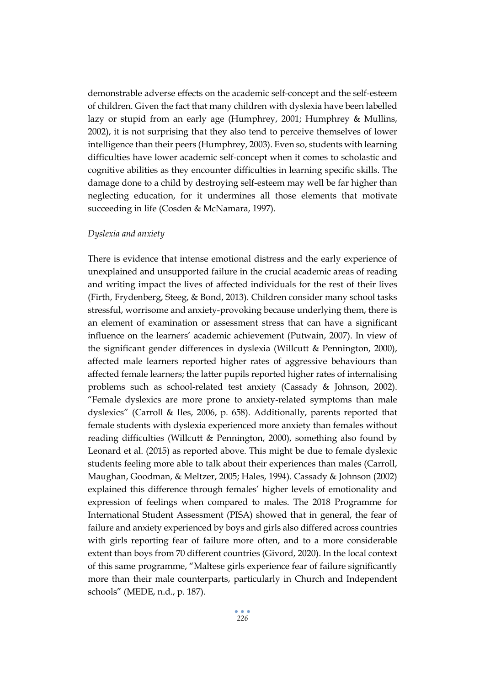demonstrable adverse effects on the academic self-concept and the self-esteem of children. Given the fact that many children with dyslexia have been labelled lazy or stupid from an early age (Humphrey, 2001; Humphrey & Mullins, 2002), it is not surprising that they also tend to perceive themselves of lower intelligence than their peers (Humphrey, 2003). Even so, students with learning difficulties have lower academic self-concept when it comes to scholastic and cognitive abilities as they encounter difficulties in learning specific skills. The damage done to a child by destroying self-esteem may well be far higher than neglecting education, for it undermines all those elements that motivate succeeding in life (Cosden & McNamara, 1997).

# *Dyslexia and anxiety*

There is evidence that intense emotional distress and the early experience of unexplained and unsupported failure in the crucial academic areas of reading and writing impact the lives of affected individuals for the rest of their lives (Firth, Frydenberg, Steeg, & Bond, 2013). Children consider many school tasks stressful, worrisome and anxiety-provoking because underlying them, there is an element of examination or assessment stress that can have a significant influence on the learners' academic achievement (Putwain, 2007). In view of the significant gender differences in dyslexia (Willcutt & Pennington, 2000), affected male learners reported higher rates of aggressive behaviours than affected female learners; the latter pupils reported higher rates of internalising problems such as school-related test anxiety (Cassady & Johnson, 2002). "Female dyslexics are more prone to anxiety-related symptoms than male dyslexics" (Carroll & Iles, 2006, p. 658). Additionally, parents reported that female students with dyslexia experienced more anxiety than females without reading difficulties (Willcutt & Pennington, 2000), something also found by Leonard et al. (2015) as reported above. This might be due to female dyslexic students feeling more able to talk about their experiences than males (Carroll, Maughan, Goodman, & Meltzer, 2005; Hales, 1994). Cassady & Johnson (2002) explained this difference through females' higher levels of emotionality and expression of feelings when compared to males. The 2018 Programme for International Student Assessment (PISA) showed that in general, the fear of failure and anxiety experienced by boys and girls also differed across countries with girls reporting fear of failure more often, and to a more considerable extent than boys from 70 different countries (Givord, 2020). In the local context of this same programme, "Maltese girls experience fear of failure significantly more than their male counterparts, particularly in Church and Independent schools" (MEDE, n.d., p. 187).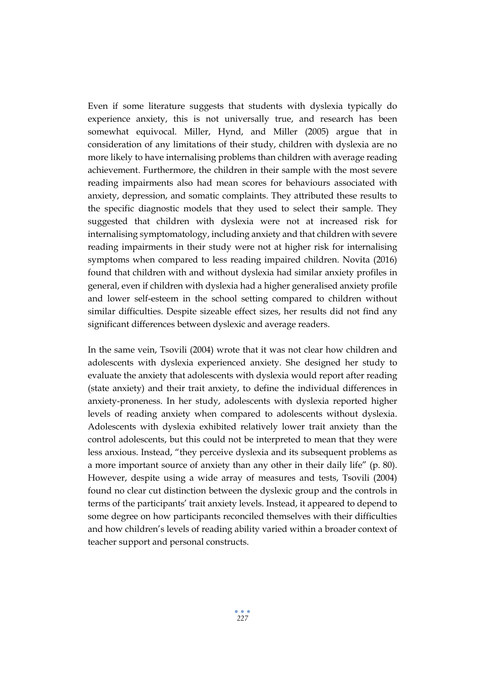Even if some literature suggests that students with dyslexia typically do experience anxiety, this is not universally true, and research has been somewhat equivocal. Miller, Hynd, and Miller (2005) argue that in consideration of any limitations of their study, children with dyslexia are no more likely to have internalising problems than children with average reading achievement. Furthermore, the children in their sample with the most severe reading impairments also had mean scores for behaviours associated with anxiety, depression, and somatic complaints. They attributed these results to the specific diagnostic models that they used to select their sample. They suggested that children with dyslexia were not at increased risk for internalising symptomatology, including anxiety and that children with severe reading impairments in their study were not at higher risk for internalising symptoms when compared to less reading impaired children. Novita (2016) found that children with and without dyslexia had similar anxiety profiles in general, even if children with dyslexia had a higher generalised anxiety profile and lower self-esteem in the school setting compared to children without similar difficulties. Despite sizeable effect sizes, her results did not find any significant differences between dyslexic and average readers.

In the same vein, Tsovili (2004) wrote that it was not clear how children and adolescents with dyslexia experienced anxiety. She designed her study to evaluate the anxiety that adolescents with dyslexia would report after reading (state anxiety) and their trait anxiety, to define the individual differences in anxiety-proneness. In her study, adolescents with dyslexia reported higher levels of reading anxiety when compared to adolescents without dyslexia. Adolescents with dyslexia exhibited relatively lower trait anxiety than the control adolescents, but this could not be interpreted to mean that they were less anxious. Instead, "they perceive dyslexia and its subsequent problems as a more important source of anxiety than any other in their daily life" (p. 80). However, despite using a wide array of measures and tests, Tsovili (2004) found no clear cut distinction between the dyslexic group and the controls in terms of the participants' trait anxiety levels. Instead, it appeared to depend to some degree on how participants reconciled themselves with their difficulties and how children's levels of reading ability varied within a broader context of teacher support and personal constructs.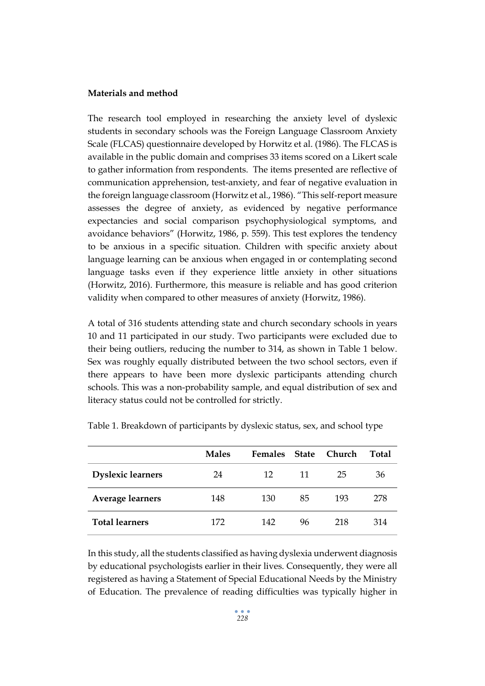#### **Materials and method**

The research tool employed in researching the anxiety level of dyslexic students in secondary schools was the Foreign Language Classroom Anxiety Scale (FLCAS) questionnaire developed by Horwitz et al. (1986). The FLCAS is available in the public domain and comprises 33 items scored on a Likert scale to gather information from respondents. The items presented are reflective of communication apprehension, test-anxiety, and fear of negative evaluation in the foreign language classroom (Horwitz et al., 1986). "This self-report measure assesses the degree of anxiety, as evidenced by negative performance expectancies and social comparison psychophysiological symptoms, and avoidance behaviors" (Horwitz, 1986, p. 559). This test explores the tendency to be anxious in a specific situation. Children with specific anxiety about language learning can be anxious when engaged in or contemplating second language tasks even if they experience little anxiety in other situations (Horwitz, 2016). Furthermore, this measure is reliable and has good criterion validity when compared to other measures of anxiety (Horwitz, 1986).

A total of 316 students attending state and church secondary schools in years 10 and 11 participated in our study. Two participants were excluded due to their being outliers, reducing the number to 314, as shown in Table 1 below. Sex was roughly equally distributed between the two school sectors, even if there appears to have been more dyslexic participants attending church schools. This was a non-probability sample, and equal distribution of sex and literacy status could not be controlled for strictly.

|                          | <b>Males</b> | <b>Females</b> | <b>State</b> | Church | Total |
|--------------------------|--------------|----------------|--------------|--------|-------|
| <b>Dyslexic learners</b> | 24           | 12             | 11           | 25     | 36    |
| <b>Average learners</b>  | 148          | 130            | 85           | 193    | 278   |
| <b>Total learners</b>    | 172          | 142            | 96           | 218    | 314   |

Table 1. Breakdown of participants by dyslexic status, sex, and school type

In this study, all the students classified as having dyslexia underwent diagnosis by educational psychologists earlier in their lives. Consequently, they were all registered as having a Statement of Special Educational Needs by the Ministry of Education. The prevalence of reading difficulties was typically higher in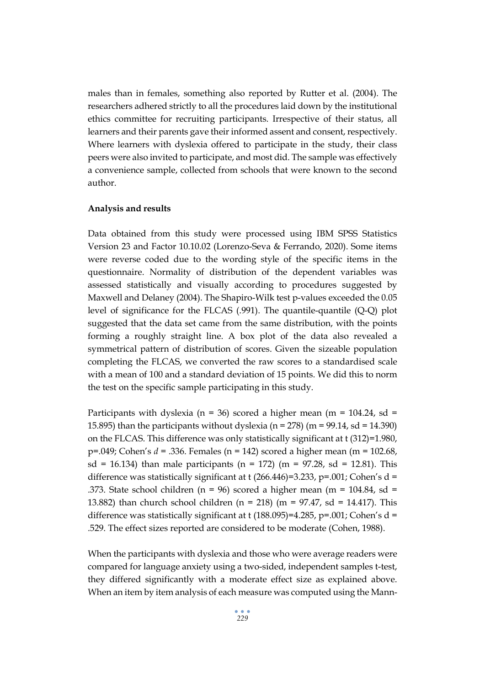males than in females, something also reported by Rutter et al. (2004). The researchers adhered strictly to all the procedures laid down by the institutional ethics committee for recruiting participants. Irrespective of their status, all learners and their parents gave their informed assent and consent, respectively. Where learners with dyslexia offered to participate in the study, their class peers were also invited to participate, and most did. The sample was effectively a convenience sample, collected from schools that were known to the second author.

### **Analysis and results**

Data obtained from this study were processed using IBM SPSS Statistics Version 23 and Factor 10.10.02 (Lorenzo-Seva & Ferrando, 2020). Some items were reverse coded due to the wording style of the specific items in the questionnaire. Normality of distribution of the dependent variables was assessed statistically and visually according to procedures suggested by Maxwell and Delaney (2004). The Shapiro-Wilk test p-values exceeded the 0.05 level of significance for the FLCAS (.991). The quantile-quantile (Q-Q) plot suggested that the data set came from the same distribution, with the points forming a roughly straight line. A box plot of the data also revealed a symmetrical pattern of distribution of scores. Given the sizeable population completing the FLCAS, we converted the raw scores to a standardised scale with a mean of 100 and a standard deviation of 15 points. We did this to norm the test on the specific sample participating in this study.

Participants with dyslexia ( $n = 36$ ) scored a higher mean ( $m = 104.24$ , sd = 15.895) than the participants without dyslexia ( $n = 278$ ) ( $m = 99.14$ ,  $sd = 14.390$ ) on the FLCAS. This difference was only statistically significant at t (312)=1.980, p=.049; Cohen's *d* = .336. Females (n = 142) scored a higher mean (m = 102.68, sd = 16.134) than male participants (n = 172) (m = 97.28, sd = 12.81). This difference was statistically significant at t  $(266.446)=3.233$ ,  $p=.001$ ; Cohen's d = .373. State school children (n = 96) scored a higher mean (m = 104.84, sd = 13.882) than church school children (n = 218) (m = 97.47, sd = 14.417). This difference was statistically significant at t (188.095)=4.285, p=.001; Cohen's  $d =$ .529. The effect sizes reported are considered to be moderate (Cohen, 1988).

When the participants with dyslexia and those who were average readers were compared for language anxiety using a two-sided, independent samples t-test, they differed significantly with a moderate effect size as explained above. When an item by item analysis of each measure was computed using the Mann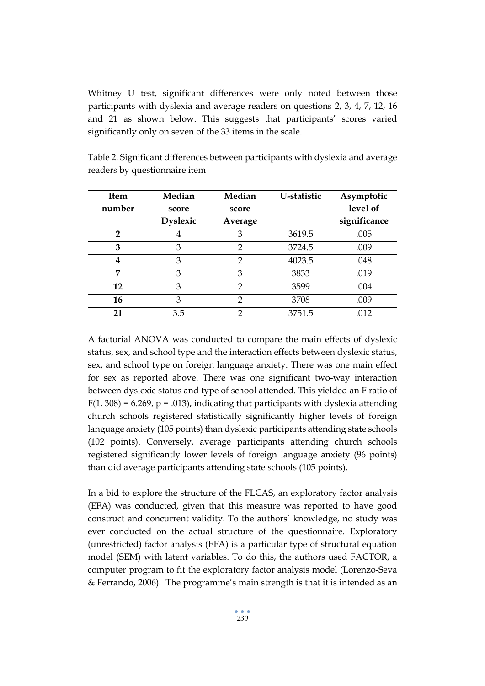Whitney U test, significant differences were only noted between those participants with dyslexia and average readers on questions 2, 3, 4, 7, 12, 16 and 21 as shown below. This suggests that participants' scores varied significantly only on seven of the 33 items in the scale.

| <b>Item</b> | Median          | Median        | U-statistic | Asymptotic   |
|-------------|-----------------|---------------|-------------|--------------|
| number      | score           | score         |             | level of     |
|             | <b>Dyslexic</b> | Average       |             | significance |
| 2           | 4               | 3             | 3619.5      | .005         |
| 3           | 3               | $\mathcal{P}$ | 3724.5      | .009         |
| 4           | 3               | $\mathcal{P}$ | 4023.5      | .048         |
| 7           | 3               | 3             | 3833        | .019         |
| 12          | 3               | $\mathcal{D}$ | 3599        | .004         |
| <b>16</b>   | 3               | $\mathcal{D}$ | 3708        | .009         |
| 21          | 3.5             | ∍             | 3751.5      | .012         |

Table 2. Significant differences between participants with dyslexia and average readers by questionnaire item

A factorial ANOVA was conducted to compare the main effects of dyslexic status, sex, and school type and the interaction effects between dyslexic status, sex, and school type on foreign language anxiety. There was one main effect for sex as reported above. There was one significant two-way interaction between dyslexic status and type of school attended. This yielded an F ratio of  $F(1, 308) = 6.269$ ,  $p = .013$ , indicating that participants with dyslexia attending church schools registered statistically significantly higher levels of foreign language anxiety (105 points) than dyslexic participants attending state schools (102 points). Conversely, average participants attending church schools registered significantly lower levels of foreign language anxiety (96 points) than did average participants attending state schools (105 points).

In a bid to explore the structure of the FLCAS, an exploratory factor analysis (EFA) was conducted, given that this measure was reported to have good construct and concurrent validity. To the authors' knowledge, no study was ever conducted on the actual structure of the questionnaire. Exploratory (unrestricted) factor analysis (EFA) is a particular type of structural equation model (SEM) with latent variables. To do this, the authors used FACTOR, a computer program to fit the exploratory factor analysis model (Lorenzo-Seva & Ferrando, 2006). The programme's main strength is that it is intended as an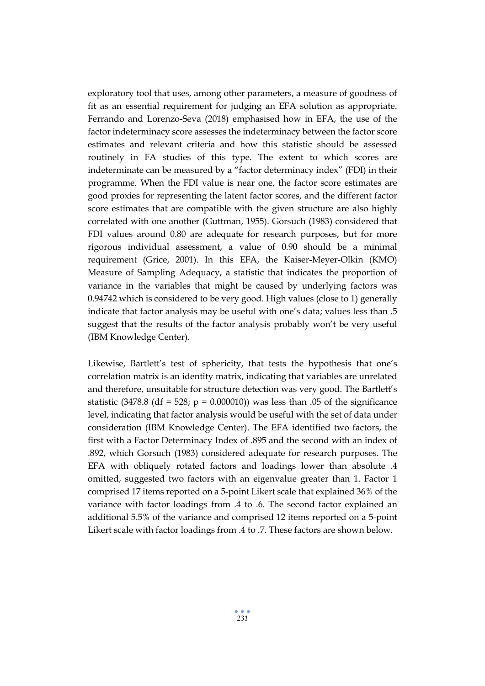exploratory tool that uses, among other parameters, a measure of goodness of fit as an essential requirement for judging an EFA solution as appropriate. Ferrando and Lorenzo-Seva (2018) emphasised how in EFA, the use of the factor indeterminacy score assesses the indeterminacy between the factor score estimates and relevant criteria and how this statistic should be assessed routinely in FA studies of this type. The extent to which scores are indeterminate can be measured by a "factor determinacy index" (FDI) in their programme. When the FDI value is near one, the factor score estimates are good proxies for representing the latent factor scores, and the different factor score estimates that are compatible with the given structure are also highly correlated with one another (Guttman, 1955). Gorsuch (1983) considered that FDI values around 0.80 are adequate for research purposes, but for more rigorous individual assessment, a value of 0.90 should be a minimal requirement (Grice, 2001). In this EFA, the Kaiser-Meyer-Olkin (KMO) Measure of Sampling Adequacy, a statistic that indicates the proportion of variance in the variables that might be caused by underlying factors was 0.94742 which is considered to be very good. High values (close to 1) generally indicate that factor analysis may be useful with one's data; values less than .5 suggest that the results of the factor analysis probably won't be very useful (IBM Knowledge Center).

Likewise, Bartlett's test of sphericity, that tests the hypothesis that one's correlation matrix is an identity matrix, indicating that variables are unrelated and therefore, unsuitable for structure detection was very good. The Bartlett's statistic (3478.8 (df = 528;  $p = 0.000010$ ) was less than 0.05 of the significance level, indicating that factor analysis would be useful with the set of data under consideration (IBM Knowledge Center). The EFA identified two factors, the first with a Factor Determinacy Index of .895 and the second with an index of .892, which Gorsuch (1983) considered adequate for research purposes. The EFA with obliquely rotated factors and loadings lower than absolute .4 omitted, suggested two factors with an eigenvalue greater than 1. Factor 1 comprised 17 items reported on a 5-point Likert scale that explained 36% of the variance with factor loadings from .4 to .6. The second factor explained an additional 5.5% of the variance and comprised 12 items reported on a 5-point Likert scale with factor loadings from .4 to .7. These factors are shown below.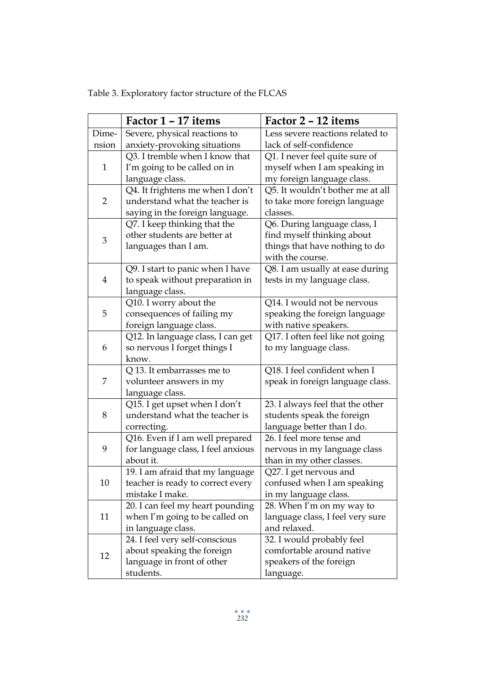|  | Table 3. Exploratory factor structure of the FLCAS |
|--|----------------------------------------------------|
|--|----------------------------------------------------|

|                | Factor 1 – 17 items                | Factor 2 – 12 items              |  |
|----------------|------------------------------------|----------------------------------|--|
| Dime-          | Severe, physical reactions to      | Less severe reactions related to |  |
| nsion          | anxiety-provoking situations       | lack of self-confidence          |  |
|                | Q3. I tremble when I know that     | Q1. I never feel quite sure of   |  |
| $\mathbf{1}$   | I'm going to be called on in       | myself when I am speaking in     |  |
|                | language class.                    | my foreign language class.       |  |
|                | Q4. It frightens me when I don't   | Q5. It wouldn't bother me at all |  |
| $\overline{2}$ | understand what the teacher is     | to take more foreign language    |  |
|                | saying in the foreign language.    | classes.                         |  |
|                | Q7. I keep thinking that the       | Q6. During language class, I     |  |
|                | other students are better at       | find myself thinking about       |  |
| $\mathfrak{B}$ | languages than I am.               | things that have nothing to do   |  |
|                |                                    | with the course.                 |  |
|                | Q9. I start to panic when I have   | Q8. I am usually at ease during  |  |
| $\overline{4}$ | to speak without preparation in    | tests in my language class.      |  |
|                | language class.                    |                                  |  |
|                | Q10. I worry about the             | Q14. I would not be nervous      |  |
| 5              | consequences of failing my         | speaking the foreign language    |  |
|                | foreign language class.            | with native speakers.            |  |
|                | Q12. In language class, I can get  | Q17. I often feel like not going |  |
| 6              | so nervous I forget things I       | to my language class.            |  |
|                | know.                              |                                  |  |
|                | Q 13. It embarrasses me to         | Q18. I feel confident when I     |  |
| 7              | volunteer answers in my            | speak in foreign language class. |  |
|                | language class.                    |                                  |  |
|                | Q15. I get upset when I don't      | 23. I always feel that the other |  |
| 8              | understand what the teacher is     | students speak the foreign       |  |
|                | correcting.                        | language better than I do.       |  |
|                | Q16. Even if I am well prepared    | 26. I feel more tense and        |  |
| 9              | for language class, I feel anxious | nervous in my language class     |  |
|                | about it.                          | than in my other classes.        |  |
|                | 19. I am afraid that my language   | Q27. I get nervous and           |  |
| 10             | teacher is ready to correct every  | confused when I am speaking      |  |
|                | mistake I make.                    | in my language class.            |  |
|                | 20. I can feel my heart pounding   | 28. When I'm on my way to        |  |
| 11             | when I'm going to be called on     | language class, I feel very sure |  |
|                | in language class.                 | and relaxed.                     |  |
|                | 24. I feel very self-conscious     | 32. I would probably feel        |  |
| 12             | about speaking the foreign         | comfortable around native        |  |
|                | language in front of other         | speakers of the foreign          |  |
|                | students.                          | language.                        |  |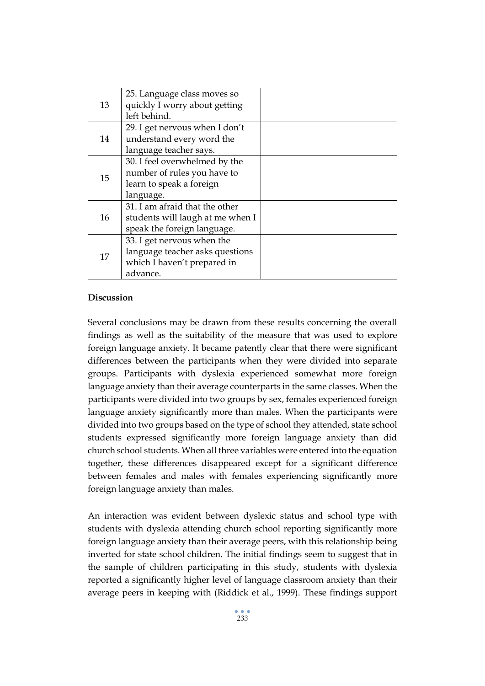| 13 | 25. Language class moves so      |  |
|----|----------------------------------|--|
|    | quickly I worry about getting    |  |
|    | left behind.                     |  |
| 14 | 29. I get nervous when I don't   |  |
|    | understand every word the        |  |
|    | language teacher says.           |  |
|    | 30. I feel overwhelmed by the    |  |
| 15 | number of rules you have to      |  |
|    | learn to speak a foreign         |  |
|    | language.                        |  |
|    | 31. I am afraid that the other   |  |
| 16 | students will laugh at me when I |  |
|    | speak the foreign language.      |  |
| 17 | 33. I get nervous when the       |  |
|    | language teacher asks questions  |  |
|    | which I haven't prepared in      |  |
|    | advance.                         |  |

# **Discussion**

Several conclusions may be drawn from these results concerning the overall findings as well as the suitability of the measure that was used to explore foreign language anxiety. It became patently clear that there were significant differences between the participants when they were divided into separate groups. Participants with dyslexia experienced somewhat more foreign language anxiety than their average counterparts in the same classes. When the participants were divided into two groups by sex, females experienced foreign language anxiety significantly more than males. When the participants were divided into two groups based on the type of school they attended, state school students expressed significantly more foreign language anxiety than did church school students. When all three variables were entered into the equation together, these differences disappeared except for a significant difference between females and males with females experiencing significantly more foreign language anxiety than males.

An interaction was evident between dyslexic status and school type with students with dyslexia attending church school reporting significantly more foreign language anxiety than their average peers, with this relationship being inverted for state school children. The initial findings seem to suggest that in the sample of children participating in this study, students with dyslexia reported a significantly higher level of language classroom anxiety than their average peers in keeping with (Riddick et al., 1999). These findings support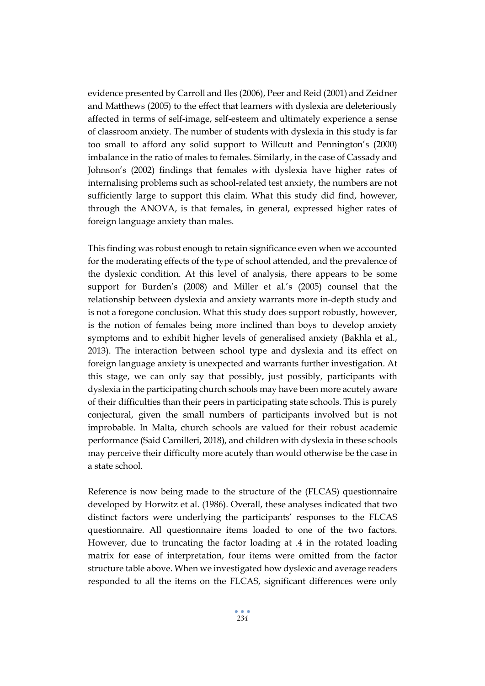evidence presented by Carroll and Iles (2006), Peer and Reid (2001) and Zeidner and Matthews (2005) to the effect that learners with dyslexia are deleteriously affected in terms of self-image, self-esteem and ultimately experience a sense of classroom anxiety. The number of students with dyslexia in this study is far too small to afford any solid support to Willcutt and Pennington's (2000) imbalance in the ratio of males to females. Similarly, in the case of Cassady and Johnson's (2002) findings that females with dyslexia have higher rates of internalising problems such as school-related test anxiety, the numbers are not sufficiently large to support this claim. What this study did find, however, through the ANOVA, is that females, in general, expressed higher rates of foreign language anxiety than males.

This finding was robust enough to retain significance even when we accounted for the moderating effects of the type of school attended, and the prevalence of the dyslexic condition. At this level of analysis, there appears to be some support for Burden's (2008) and Miller et al.'s (2005) counsel that the relationship between dyslexia and anxiety warrants more in-depth study and is not a foregone conclusion. What this study does support robustly, however, is the notion of females being more inclined than boys to develop anxiety symptoms and to exhibit higher levels of generalised anxiety (Bakhla et al., 2013). The interaction between school type and dyslexia and its effect on foreign language anxiety is unexpected and warrants further investigation. At this stage, we can only say that possibly, just possibly, participants with dyslexia in the participating church schools may have been more acutely aware of their difficulties than their peers in participating state schools. This is purely conjectural, given the small numbers of participants involved but is not improbable. In Malta, church schools are valued for their robust academic performance (Said Camilleri, 2018), and children with dyslexia in these schools may perceive their difficulty more acutely than would otherwise be the case in a state school.

Reference is now being made to the structure of the (FLCAS) questionnaire developed by Horwitz et al. (1986). Overall, these analyses indicated that two distinct factors were underlying the participants' responses to the FLCAS questionnaire. All questionnaire items loaded to one of the two factors. However, due to truncating the factor loading at .4 in the rotated loading matrix for ease of interpretation, four items were omitted from the factor structure table above. When we investigated how dyslexic and average readers responded to all the items on the FLCAS, significant differences were only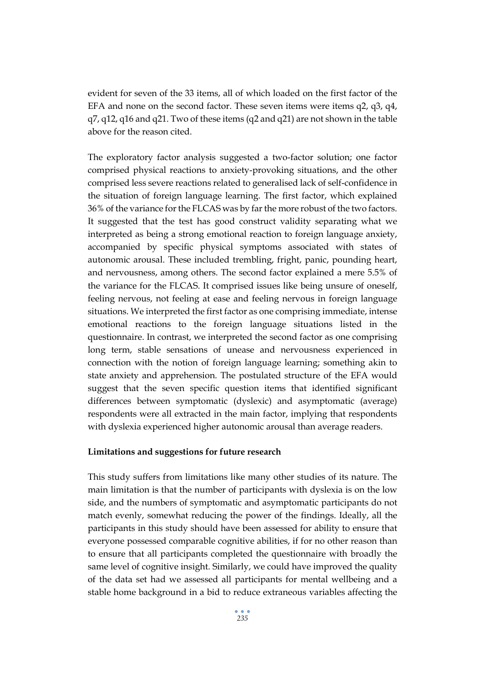evident for seven of the 33 items, all of which loaded on the first factor of the EFA and none on the second factor. These seven items were items q2, q3, q4, q7, q12, q16 and q21. Two of these items (q2 and q21) are not shown in the table above for the reason cited.

The exploratory factor analysis suggested a two-factor solution; one factor comprised physical reactions to anxiety-provoking situations, and the other comprised less severe reactions related to generalised lack of self-confidence in the situation of foreign language learning. The first factor, which explained 36% of the variance for the FLCAS was by far the more robust of the two factors. It suggested that the test has good construct validity separating what we interpreted as being a strong emotional reaction to foreign language anxiety, accompanied by specific physical symptoms associated with states of autonomic arousal. These included trembling, fright, panic, pounding heart, and nervousness, among others. The second factor explained a mere 5.5% of the variance for the FLCAS. It comprised issues like being unsure of oneself, feeling nervous, not feeling at ease and feeling nervous in foreign language situations. We interpreted the first factor as one comprising immediate, intense emotional reactions to the foreign language situations listed in the questionnaire. In contrast, we interpreted the second factor as one comprising long term, stable sensations of unease and nervousness experienced in connection with the notion of foreign language learning; something akin to state anxiety and apprehension. The postulated structure of the EFA would suggest that the seven specific question items that identified significant differences between symptomatic (dyslexic) and asymptomatic (average) respondents were all extracted in the main factor, implying that respondents with dyslexia experienced higher autonomic arousal than average readers.

## **Limitations and suggestions for future research**

This study suffers from limitations like many other studies of its nature. The main limitation is that the number of participants with dyslexia is on the low side, and the numbers of symptomatic and asymptomatic participants do not match evenly, somewhat reducing the power of the findings. Ideally, all the participants in this study should have been assessed for ability to ensure that everyone possessed comparable cognitive abilities, if for no other reason than to ensure that all participants completed the questionnaire with broadly the same level of cognitive insight. Similarly, we could have improved the quality of the data set had we assessed all participants for mental wellbeing and a stable home background in a bid to reduce extraneous variables affecting the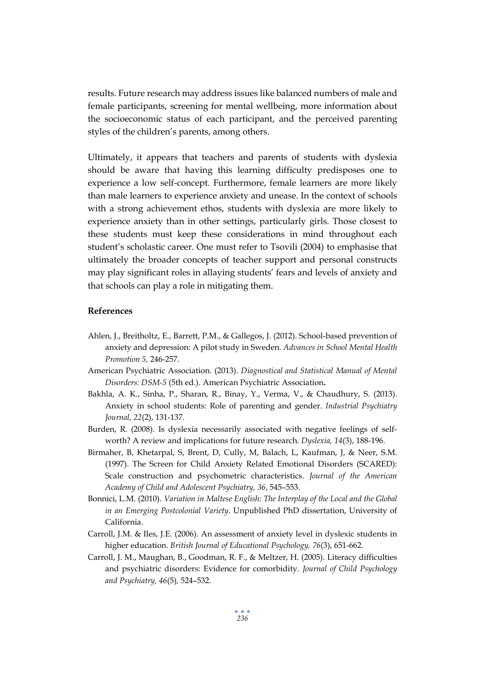results. Future research may address issues like balanced numbers of male and female participants, screening for mental wellbeing, more information about the socioeconomic status of each participant, and the perceived parenting styles of the children's parents, among others.

Ultimately, it appears that teachers and parents of students with dyslexia should be aware that having this learning difficulty predisposes one to experience a low self-concept. Furthermore, female learners are more likely than male learners to experience anxiety and unease. In the context of schools with a strong achievement ethos, students with dyslexia are more likely to experience anxiety than in other settings, particularly girls. Those closest to these students must keep these considerations in mind throughout each student's scholastic career. One must refer to Tsovili (2004) to emphasise that ultimately the broader concepts of teacher support and personal constructs may play significant roles in allaying students' fears and levels of anxiety and that schools can play a role in mitigating them.

### **References**

- Ahlen, J., Breitholtz, E., Barrett, P.M., & Gallegos, J. (2012). School-based prevention of anxiety and depression: A pilot study in Sweden. *Advances in School Mental Health Promotion 5,* 246-257.
- American Psychiatric Association. (2013). *Diagnostical and Statistical Manual of Mental Disorders: DSM-5* (5th ed.). American Psychiatric Association**.**
- Bakhla, A. K., Sinha, P., Sharan, R., Binay, Y., Verma, V., & Chaudhury, S. (2013). Anxiety in school students: Role of parenting and gender. *Industrial Psychiatry Journal, 22*(2), 131-137.
- Burden, R. (2008). Is dyslexia necessarily associated with negative feelings of selfworth? A review and implications for future research. *Dyslexia, 14*(3), 188-196.
- Birmaher, B, Khetarpal, S, Brent, D, Cully, M, Balach, L, Kaufman, J, & Neer, S.M. (1997). The Screen for Child Anxiety Related Emotional Disorders (SCARED): Scale construction and psychometric characteristics. *Journal of the American Academy of Child and Adolescent Psychiatry, 36*, 545–553.
- Bonnici, L.M. (2010). *Variation in Maltese English: The Interplay of the Local and the Global in an Emerging Postcolonial Variety*. Unpublished PhD dissertation, University of California.
- Carroll, J.M. & Iles, J.E. (2006). An assessment of anxiety level in dyslexic students in higher education. *British Journal of Educational Psychology, 76*(3), 651-662.
- Carroll, J. M., Maughan, B., Goodman, R. F., & Meltzer, H. (2005). Literacy difficulties and psychiatric disorders: Evidence for comorbidity. *Journal of Child Psychology and Psychiatry, 46*(5)*,* 524–532.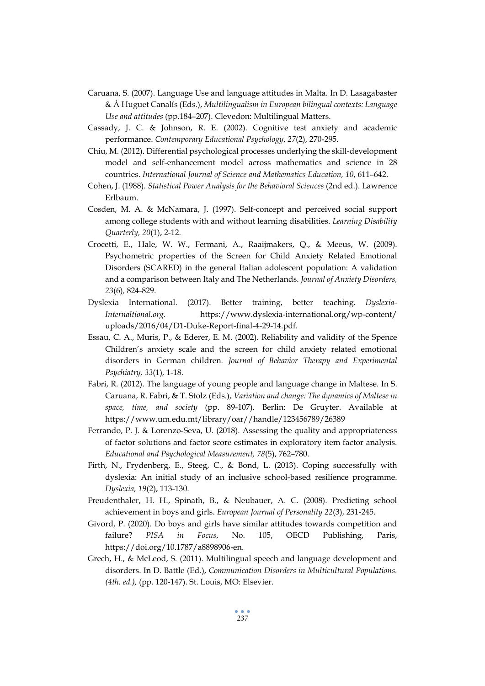- Caruana, S. (2007). Language Use and language attitudes in Malta. In D. Lasagabaster & Á Huguet Canalís (Eds.), *Multilingualism in European bilingual contexts: Language Use and attitudes* (pp.184–207). Clevedon: Multilingual Matters.
- Cassady, J. C. & Johnson, R. E. (2002). Cognitive test anxiety and academic performance. *Contemporary Educational Psychology*, *27*(2), 270-295.
- Chiu, M. (2012). Differential psychological processes underlying the skill-development model and self-enhancement model across mathematics and science in 28 countries. *International Journal of Science and Mathematics Education, 10*, 611–642.
- Cohen, J. (1988). *Statistical Power Analysis for the Behavioral Sciences* (2nd ed.). Lawrence Erlbaum.
- Cosden, M. A. & McNamara, J. (1997). Self-concept and perceived social support among college students with and without learning disabilities. *Learning Disability Quarterly, 20*(1), 2-12.
- Crocetti, E., Hale, W. W., Fermani, A., Raaijmakers, Q., & Meeus, W. (2009). Psychometric properties of the Screen for Child Anxiety Related Emotional Disorders (SCARED) in the general Italian adolescent population: A validation and a comparison between Italy and The Netherlands. *Journal of Anxiety Disorders, 23*(6)*,* 824-829.
- Dyslexia International. (2017). Better training, better teaching*. Dyslexia-Internaltional.org.* https://www.dyslexia-international.org/wp-content/ uploads/2016/04/D1-Duke-Report-final-4-29-14.pdf.
- Essau, C. A., Muris, P., & Ederer, E. M. (2002). Reliability and validity of the Spence Children's anxiety scale and the screen for child anxiety related emotional disorders in German children. *Journal of Behavior Therapy and Experimental Psychiatry, 33*(1)*,* 1-18.
- Fabri, R. (2012). The language of young people and language change in Maltese. In S. Caruana, R. Fabri, & T. Stolz (Eds.), *Variation and change: The dynamics of Maltese in space, time, and society* (pp. 89-107). Berlin: De Gruyter. Available at https://www.um.edu.mt/library/oar//handle/123456789/26389
- Ferrando, P. J. & Lorenzo-Seva, U. (2018). Assessing the quality and appropriateness of factor solutions and factor score estimates in exploratory item factor analysis. *Educational and Psychological Measurement, 78*(5), 762–780.
- Firth, N., Frydenberg, E., Steeg, C., & Bond, L. (2013). Coping successfully with dyslexia: An initial study of an inclusive school-based resilience programme. *Dyslexia, 19*(2), 113-130.
- Freudenthaler, H. H., Spinath, B., & Neubauer, A. C. (2008). Predicting school achievement in boys and girls. *European Journal of Personality 22*(3), 231-245.
- Givord, P. (2020). Do boys and girls have similar attitudes towards competition and failure? *PISA in Focus*, No. 105, OECD Publishing, Paris, https://doi.org/10.1787/a8898906-en.
- Grech, H., & McLeod, S. (2011). Multilingual speech and language development and disorders. In D. Battle (Ed.), *Communication Disorders in Multicultural Populations. (4th. ed.),* (pp. 120-147). St. Louis, MO: Elsevier.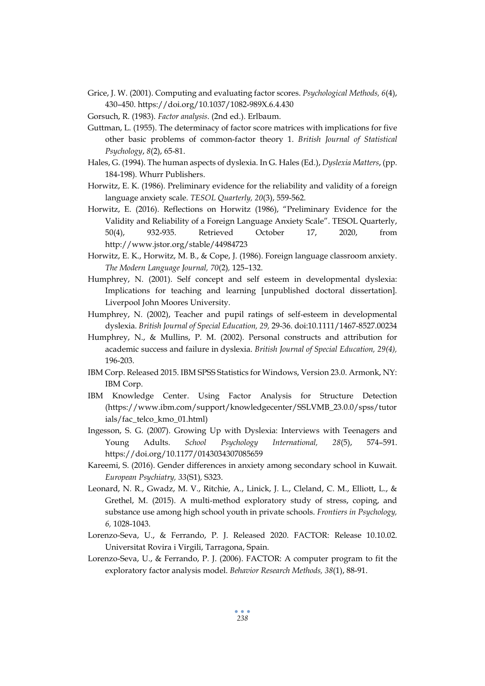- Grice, J. W. (2001). Computing and evaluating factor scores. *Psychological Methods, 6*(4), 430–450. https://doi.org/10.1037/1082-989X.6.4.430
- Gorsuch, R. (1983). *Factor analysis*. (2nd ed.). Erlbaum.
- Guttman, L. (1955). The determinacy of factor score matrices with implications for five other basic problems of common‐factor theory 1. *British Journal of Statistical Psychology*, *8*(2), 65-81.
- Hales, G. (1994). The human aspects of dyslexia. In G. Hales (Ed.), *Dyslexia Matters*, (pp. 184-198). Whurr Publishers.
- Horwitz, E. K. (1986). Preliminary evidence for the reliability and validity of a foreign language anxiety scale. *TESOL Quarterly, 20*(3), 559-562.
- Horwitz, E. (2016). Reflections on Horwitz (1986), "Preliminary Evidence for the Validity and Reliability of a Foreign Language Anxiety Scale". TESOL Quarterly, 50(4), 932-935. Retrieved October 17, 2020, from http://www.jstor.org/stable/44984723
- Horwitz, E. K., Horwitz, M. B., & Cope, J. (1986). Foreign language classroom anxiety. *The Modern Language Journal, 70*(2)*,* 125–132.
- Humphrey, N. (2001). Self concept and self esteem in developmental dyslexia: Implications for teaching and learning [unpublished doctoral dissertation]. Liverpool John Moores University.
- Humphrey, N. (2002), Teacher and pupil ratings of self‐esteem in developmental dyslexia. *British Journal of Special Education, 29,* 29-36. doi:10.1111/1467-8527.00234
- Humphrey, N., & Mullins, P. M. (2002). Personal constructs and attribution for academic success and failure in dyslexia. *British Journal of Special Education, 29(4),* 196-203.
- IBM Corp. Released 2015. IBM SPSS Statistics for Windows, Version 23.0. Armonk, NY: IBM Corp.
- IBM Knowledge Center. Using Factor Analysis for Structure Detection (https://www.ibm.com/support/knowledgecenter/SSLVMB\_23.0.0/spss/tutor ials/fac\_telco\_kmo\_01.html)
- Ingesson, S. G. (2007). Growing Up with Dyslexia: Interviews with Teenagers and Young Adults. *School Psychology International, 28*(5), 574–591. <https://doi.org/10.1177/0143034307085659>
- Kareemi, S. (2016). Gender differences in anxiety among secondary school in Kuwait. *European Psychiatry, 33*(S1)*,* S323.
- Leonard, N. R., Gwadz, M. V., Ritchie, A., Linick, J. L., Cleland, C. M., Elliott, L., & Grethel, M. (2015). A multi-method exploratory study of stress, coping, and substance use among high school youth in private schools. *Frontiers in Psychology, 6,* 1028-1043.
- Lorenzo-Seva, U., & Ferrando, P. J. Released 2020. FACTOR: Release 10.10.02. Universitat Rovira i Virgili, Tarragona, Spain.
- Lorenzo-Seva, U., & Ferrando, P. J. (2006). FACTOR: A computer program to fit the exploratory factor analysis model. *Behavior Research Methods, 38*(1), 88-91.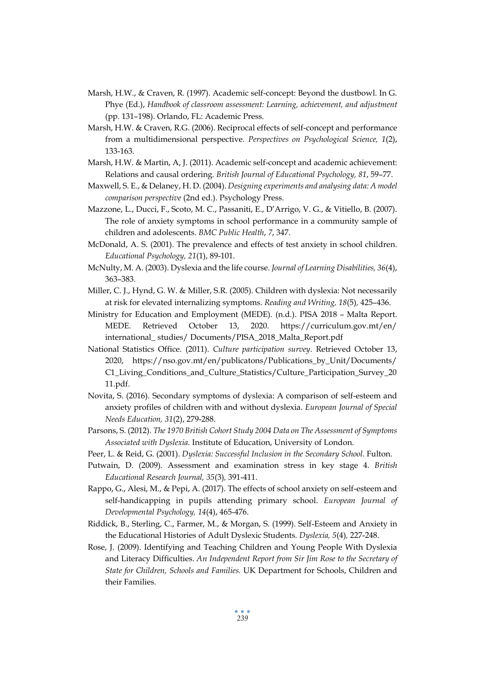- Marsh, H.W., & Craven, R. (1997). Academic self-concept: Beyond the dustbowl. In G. Phye (Ed.), *Handbook of classroom assessment: Learning, achievement, and adjustment* (pp. 131–198). Orlando, FL: Academic Press.
- Marsh, H.W. & Craven, R.G. (2006). Reciprocal effects of self-concept and performance from a multidimensional perspective. *Perspectives on Psychological Science, 1*(2), 133-163.
- Marsh, H.W. & Martin, A, J. (2011). Academic self-concept and academic achievement: Relations and causal ordering. *British Journal of Educational Psychology, 81*, 59–77.
- Maxwell, S. E., & Delaney, H. D. (2004). *Designing experiments and analysing data: A model comparison perspective* (2nd ed.). Psychology Press.
- Mazzone, L., Ducci, F., Scoto, M. C., Passaniti, E., D'Arrigo, V. G., & Vitiello, B. (2007). The role of anxiety symptoms in school performance in a community sample of children and adolescents. *BMC Public Health*, *7*, 347.
- McDonald, A. S. (2001). The prevalence and effects of test anxiety in school children. *Educational Psychology, 21*(1), 89-101.
- McNulty, M. A. (2003). Dyslexia and the life course. *Journal of Learning Disabilities, 36*(4), 363–383.
- Miller, C. J., Hynd, G. W. & Miller, S.R. (2005). Children with dyslexia: Not necessarily at risk for elevated internalizing symptoms. *Reading and Writing, 18*(5)*,* 425–436.
- Ministry for Education and Employment (MEDE). (n.d.). PISA 2018 Malta Report. MEDE. Retrieved October 13, 2020. https://curriculum.gov.mt/en/ international\_ studies/ Documents/PISA\_2018\_Malta\_Report.pdf
- National Statistics Office. (2011). *Culture participation survey*. Retrieved October 13, 2020, https://nso.gov.mt/en/publicatons/Publications\_by\_Unit/Documents/ C1\_Living\_Conditions\_and\_Culture\_Statistics/Culture\_Participation\_Survey\_20 11.pdf.
- Novita, S. (2016). Secondary symptoms of dyslexia: A comparison of self-esteem and anxiety profiles of children with and without dyslexia. *European Journal of Special Needs Education, 31*(2), 279-288.
- Parsons, S. (2012). *The 1970 British Cohort Study 2004 Data on The Assessment of Symptoms Associated with Dyslexia.* Institute of Education, University of London.
- Peer, L. & Reid, G. (2001). *Dyslexia: Successful Inclusion in the Secondary School*. Fulton.
- Putwain, D. (2009). Assessment and examination stress in key stage 4. *British Educational Research Journal, 35*(3)*,* 391-411.
- Rappo, G., Alesi, M., & Pepi, A. (2017). The effects of school anxiety on self-esteem and self-handicapping in pupils attending primary school. *European Journal of Developmental Psychology, 14*(4), 465-476.
- Riddick, B., Sterling, C., Farmer, M., & Morgan, S. (1999). Self-Esteem and Anxiety in the Educational Histories of Adult Dyslexic Students. *Dyslexia, 5*(4)*,* 227-248.
- Rose, J. (2009). Identifying and Teaching Children and Young People With Dyslexia and Literacy Difficulties. *An Independent Report from Sir Jim Rose to the Secretary of State for Children, Schools and Families.* UK Department for Schools, Children and their Families.